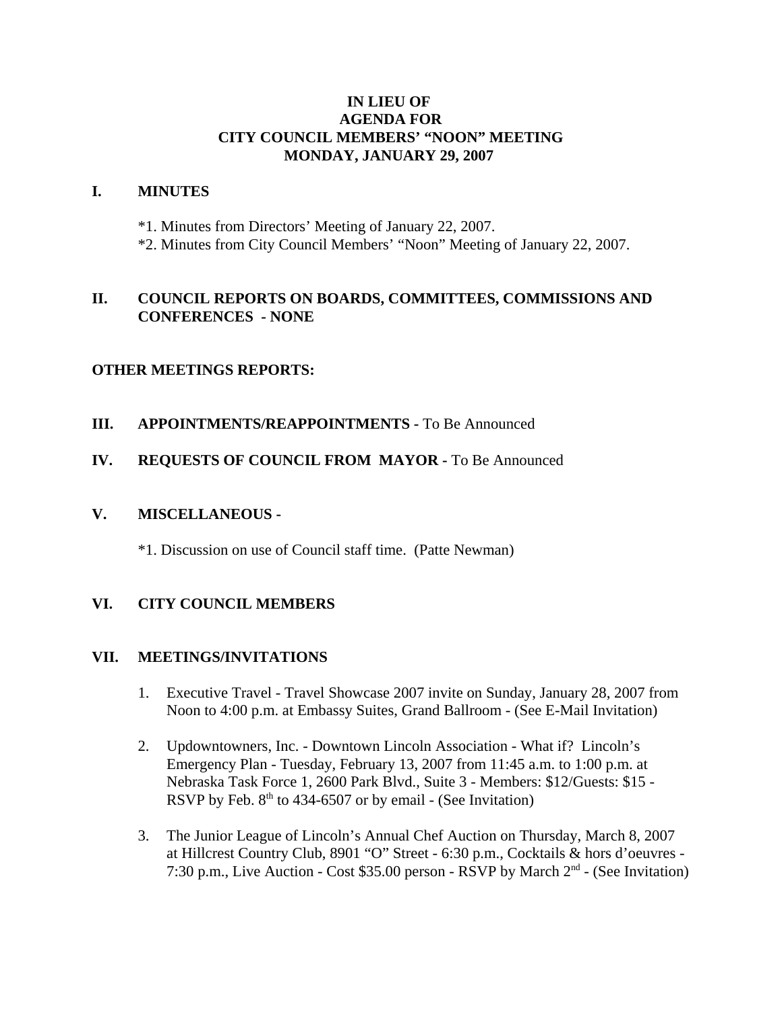## **IN LIEU OF AGENDA FOR CITY COUNCIL MEMBERS' "NOON" MEETING MONDAY, JANUARY 29, 2007**

#### **I. MINUTES**

- \*1. Minutes from Directors' Meeting of January 22, 2007.
- \*2. Minutes from City Council Members' "Noon" Meeting of January 22, 2007.

# **II. COUNCIL REPORTS ON BOARDS, COMMITTEES, COMMISSIONS AND CONFERENCES - NONE**

#### **OTHER MEETINGS REPORTS:**

**III.** APPOINTMENTS/REAPPOINTMENTS - To Be Announced

## **IV. REQUESTS OF COUNCIL FROM MAYOR -** To Be Announced

#### **V. MISCELLANEOUS -**

\*1. Discussion on use of Council staff time. (Patte Newman)

# **VI. CITY COUNCIL MEMBERS**

#### **VII. MEETINGS/INVITATIONS**

- 1. Executive Travel Travel Showcase 2007 invite on Sunday, January 28, 2007 from Noon to 4:00 p.m. at Embassy Suites, Grand Ballroom - (See E-Mail Invitation)
- 2. Updowntowners, Inc. Downtown Lincoln Association What if? Lincoln's Emergency Plan - Tuesday, February 13, 2007 from 11:45 a.m. to 1:00 p.m. at Nebraska Task Force 1, 2600 Park Blvd., Suite 3 - Members: \$12/Guests: \$15 - RSVP by Feb.  $8<sup>th</sup>$  to 434-6507 or by email - (See Invitation)
- 3. The Junior League of Lincoln's Annual Chef Auction on Thursday, March 8, 2007 at Hillcrest Country Club, 8901 "O" Street - 6:30 p.m., Cocktails & hors d'oeuvres - 7:30 p.m., Live Auction - Cost \$35.00 person - RSVP by March  $2<sup>nd</sup>$  - (See Invitation)